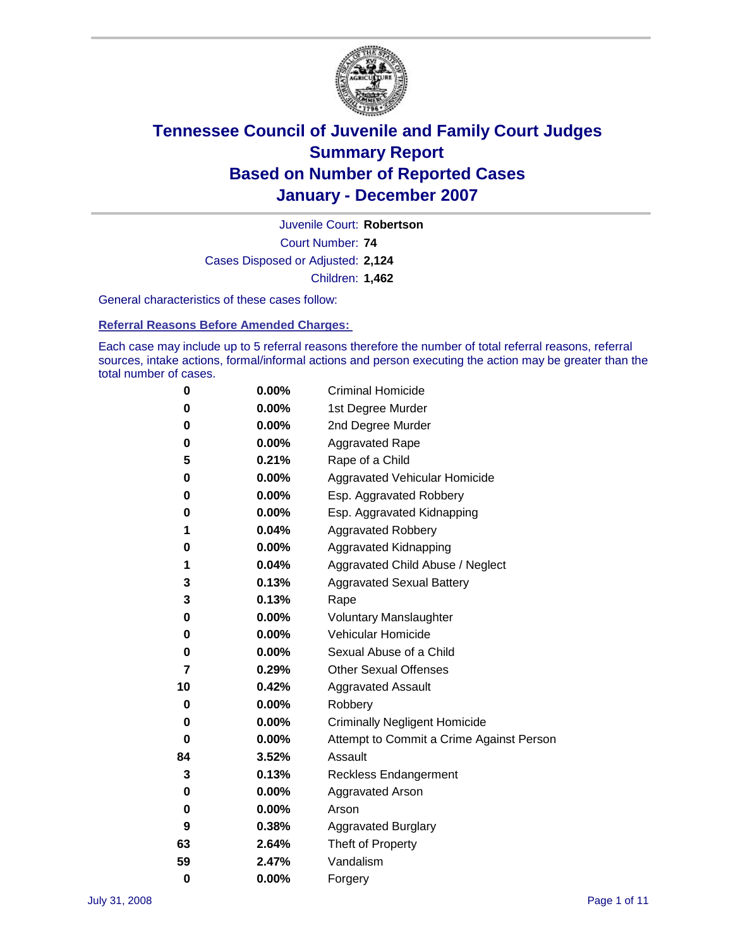

Court Number: **74** Juvenile Court: **Robertson** Cases Disposed or Adjusted: **2,124** Children: **1,462**

General characteristics of these cases follow:

**Referral Reasons Before Amended Charges:** 

Each case may include up to 5 referral reasons therefore the number of total referral reasons, referral sources, intake actions, formal/informal actions and person executing the action may be greater than the total number of cases.

| 0  | 0.00%    | <b>Criminal Homicide</b>                 |
|----|----------|------------------------------------------|
| 0  | 0.00%    | 1st Degree Murder                        |
| 0  | $0.00\%$ | 2nd Degree Murder                        |
| 0  | 0.00%    | <b>Aggravated Rape</b>                   |
| 5  | 0.21%    | Rape of a Child                          |
| 0  | 0.00%    | Aggravated Vehicular Homicide            |
| 0  | 0.00%    | Esp. Aggravated Robbery                  |
| 0  | 0.00%    | Esp. Aggravated Kidnapping               |
| 1  | 0.04%    | <b>Aggravated Robbery</b>                |
| 0  | 0.00%    | Aggravated Kidnapping                    |
| 1  | 0.04%    | Aggravated Child Abuse / Neglect         |
| 3  | 0.13%    | <b>Aggravated Sexual Battery</b>         |
| 3  | 0.13%    | Rape                                     |
| 0  | 0.00%    | <b>Voluntary Manslaughter</b>            |
| 0  | 0.00%    | Vehicular Homicide                       |
| 0  | 0.00%    | Sexual Abuse of a Child                  |
| 7  | 0.29%    | <b>Other Sexual Offenses</b>             |
| 10 | 0.42%    | <b>Aggravated Assault</b>                |
| 0  | $0.00\%$ | Robbery                                  |
| 0  | 0.00%    | <b>Criminally Negligent Homicide</b>     |
| 0  | 0.00%    | Attempt to Commit a Crime Against Person |
| 84 | 3.52%    | Assault                                  |
| 3  | 0.13%    | <b>Reckless Endangerment</b>             |
| 0  | 0.00%    | Aggravated Arson                         |
| 0  | 0.00%    | Arson                                    |
| 9  | 0.38%    | <b>Aggravated Burglary</b>               |
| 63 | 2.64%    | Theft of Property                        |
| 59 | 2.47%    | Vandalism                                |
| 0  | 0.00%    | Forgery                                  |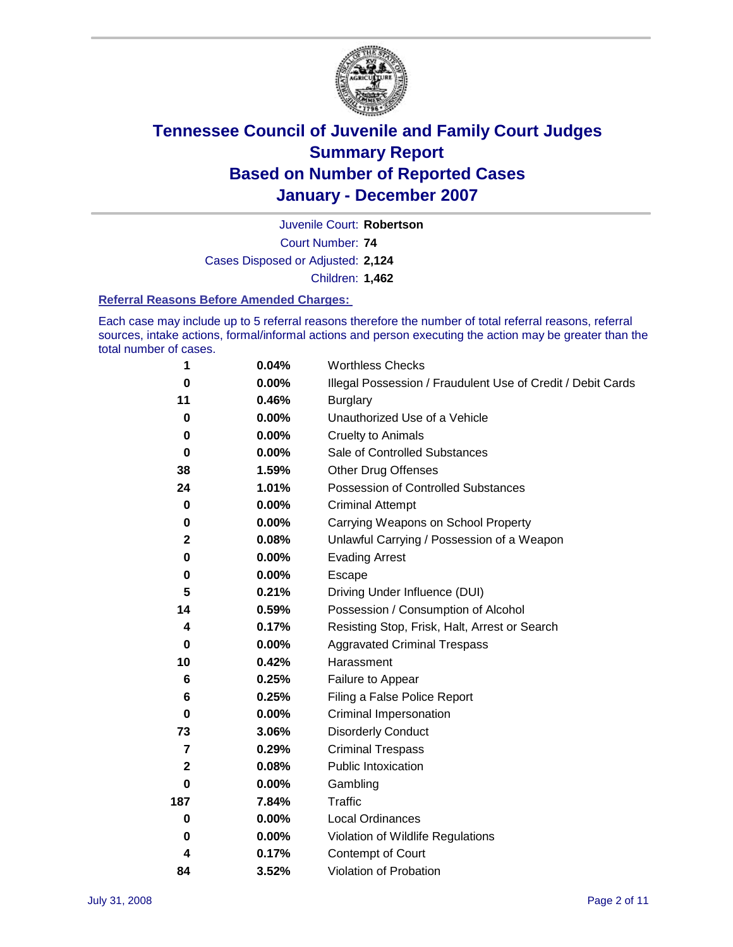

Court Number: **74** Juvenile Court: **Robertson** Cases Disposed or Adjusted: **2,124** Children: **1,462**

#### **Referral Reasons Before Amended Charges:**

Each case may include up to 5 referral reasons therefore the number of total referral reasons, referral sources, intake actions, formal/informal actions and person executing the action may be greater than the total number of cases.

| 1              | 0.04%    | <b>Worthless Checks</b>                                     |
|----------------|----------|-------------------------------------------------------------|
| $\bf{0}$       | $0.00\%$ | Illegal Possession / Fraudulent Use of Credit / Debit Cards |
| 11             | 0.46%    | <b>Burglary</b>                                             |
| 0              | $0.00\%$ | Unauthorized Use of a Vehicle                               |
| 0              | 0.00%    | <b>Cruelty to Animals</b>                                   |
| $\bf{0}$       | $0.00\%$ | Sale of Controlled Substances                               |
| 38             | 1.59%    | <b>Other Drug Offenses</b>                                  |
| 24             | 1.01%    | <b>Possession of Controlled Substances</b>                  |
| 0              | $0.00\%$ | <b>Criminal Attempt</b>                                     |
| 0              | 0.00%    | Carrying Weapons on School Property                         |
| $\mathbf 2$    | 0.08%    | Unlawful Carrying / Possession of a Weapon                  |
| $\bf{0}$       | $0.00\%$ | <b>Evading Arrest</b>                                       |
| 0              | 0.00%    | Escape                                                      |
| 5              | 0.21%    | Driving Under Influence (DUI)                               |
| 14             | 0.59%    | Possession / Consumption of Alcohol                         |
| 4              | 0.17%    | Resisting Stop, Frisk, Halt, Arrest or Search               |
| $\bf{0}$       | 0.00%    | <b>Aggravated Criminal Trespass</b>                         |
| 10             | 0.42%    | Harassment                                                  |
| 6              | 0.25%    | Failure to Appear                                           |
| 6              | 0.25%    | Filing a False Police Report                                |
| 0              | $0.00\%$ | Criminal Impersonation                                      |
| 73             | 3.06%    | <b>Disorderly Conduct</b>                                   |
| $\overline{7}$ | 0.29%    | <b>Criminal Trespass</b>                                    |
| $\mathbf 2$    | 0.08%    | <b>Public Intoxication</b>                                  |
| 0              | $0.00\%$ | Gambling                                                    |
| 187            | 7.84%    | <b>Traffic</b>                                              |
| 0              | $0.00\%$ | Local Ordinances                                            |
| 0              | 0.00%    | Violation of Wildlife Regulations                           |
| 4              | 0.17%    | Contempt of Court                                           |
| 84             | 3.52%    | Violation of Probation                                      |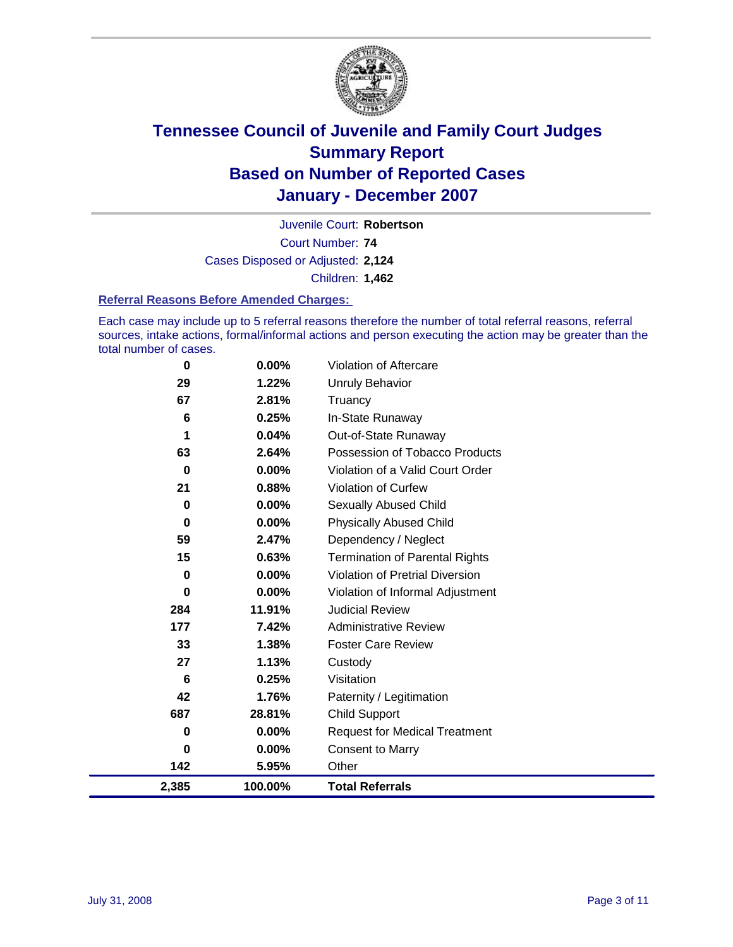

Court Number: **74** Juvenile Court: **Robertson** Cases Disposed or Adjusted: **2,124** Children: **1,462**

#### **Referral Reasons Before Amended Charges:**

Each case may include up to 5 referral reasons therefore the number of total referral reasons, referral sources, intake actions, formal/informal actions and person executing the action may be greater than the total number of cases.

| 2,385    | 100.00% | <b>Total Referrals</b>                 |
|----------|---------|----------------------------------------|
| 142      | 5.95%   | Other                                  |
| 0        | 0.00%   | <b>Consent to Marry</b>                |
| 0        | 0.00%   | <b>Request for Medical Treatment</b>   |
| 687      | 28.81%  | <b>Child Support</b>                   |
| 42       | 1.76%   | Paternity / Legitimation               |
| 6        | 0.25%   | Visitation                             |
| 27       | 1.13%   | Custody                                |
| 33       | 1.38%   | <b>Foster Care Review</b>              |
| 177      | 7.42%   | <b>Administrative Review</b>           |
| 284      | 11.91%  | <b>Judicial Review</b>                 |
| 0        | 0.00%   | Violation of Informal Adjustment       |
| 0        | 0.00%   | <b>Violation of Pretrial Diversion</b> |
| 15       | 0.63%   | <b>Termination of Parental Rights</b>  |
| 59       | 2.47%   | Dependency / Neglect                   |
| $\bf{0}$ | 0.00%   | <b>Physically Abused Child</b>         |
| 0        | 0.00%   | <b>Sexually Abused Child</b>           |
| 21       | 0.88%   | <b>Violation of Curfew</b>             |
| $\bf{0}$ | 0.00%   | Violation of a Valid Court Order       |
| 63       | 2.64%   | Possession of Tobacco Products         |
| 1        | 0.04%   | Out-of-State Runaway                   |
| 6        | 0.25%   | In-State Runaway                       |
| 67       | 2.81%   | Truancy                                |
| 29       | 1.22%   | <b>Unruly Behavior</b>                 |
| 0        | 0.00%   | Violation of Aftercare                 |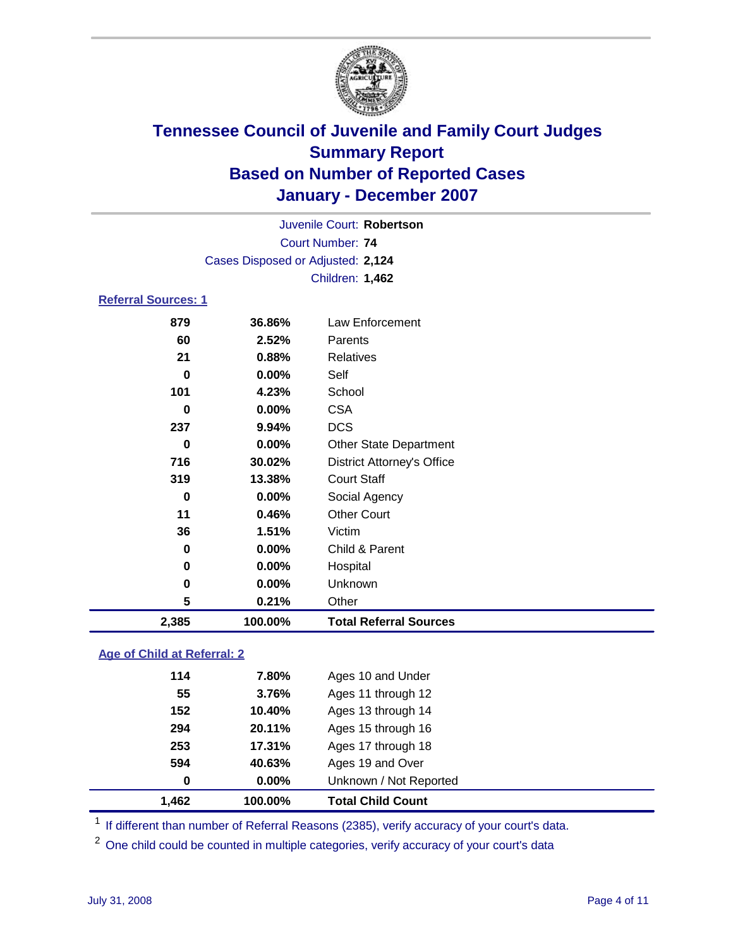

Court Number: **74** Juvenile Court: **Robertson** Cases Disposed or Adjusted: **2,124** Children: **1,462**

### **Referral Sources: 1**

| 879      | 36.86%  | Law Enforcement                   |
|----------|---------|-----------------------------------|
| 60       | 2.52%   | Parents                           |
| 21       | 0.88%   | <b>Relatives</b>                  |
| 0        | 0.00%   | Self                              |
| 101      | 4.23%   | School                            |
| 0        | 0.00%   | <b>CSA</b>                        |
| 237      | 9.94%   | <b>DCS</b>                        |
| $\bf{0}$ | 0.00%   | <b>Other State Department</b>     |
| 716      | 30.02%  | <b>District Attorney's Office</b> |
| 319      | 13.38%  | <b>Court Staff</b>                |
| 0        | 0.00%   | Social Agency                     |
| 11       | 0.46%   | <b>Other Court</b>                |
| 36       | 1.51%   | Victim                            |
| 0        | 0.00%   | Child & Parent                    |
| 0        | 0.00%   | Hospital                          |
| 0        | 0.00%   | Unknown                           |
| 5        | 0.21%   | Other                             |
| 2,385    | 100.00% | <b>Total Referral Sources</b>     |

#### **Age of Child at Referral: 2**

| 1.462 | 100.00% | <b>Total Child Count</b> |
|-------|---------|--------------------------|
| 0     | 0.00%   | Unknown / Not Reported   |
| 594   | 40.63%  | Ages 19 and Over         |
| 253   | 17.31%  | Ages 17 through 18       |
| 294   | 20.11%  | Ages 15 through 16       |
| 152   | 10.40%  | Ages 13 through 14       |
| 55    | 3.76%   | Ages 11 through 12       |
| 114   | 7.80%   | Ages 10 and Under        |
|       |         |                          |

<sup>1</sup> If different than number of Referral Reasons (2385), verify accuracy of your court's data.

<sup>2</sup> One child could be counted in multiple categories, verify accuracy of your court's data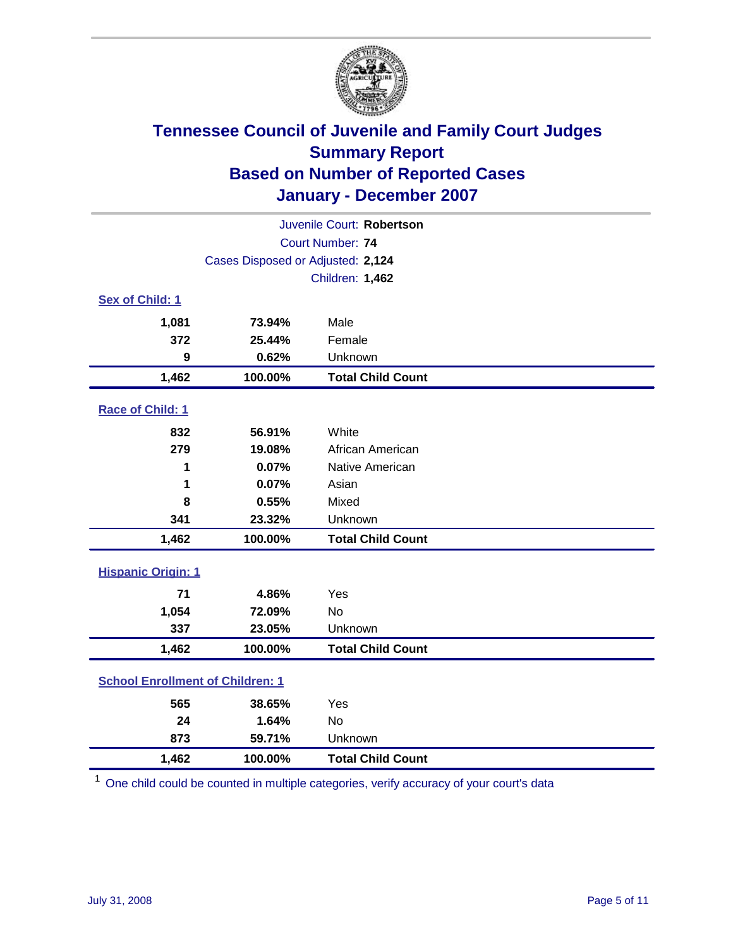

| Juvenile Court: Robertson               |                                   |                          |  |  |
|-----------------------------------------|-----------------------------------|--------------------------|--|--|
| Court Number: 74                        |                                   |                          |  |  |
|                                         | Cases Disposed or Adjusted: 2,124 |                          |  |  |
|                                         |                                   | Children: 1,462          |  |  |
| Sex of Child: 1                         |                                   |                          |  |  |
| 1,081                                   | 73.94%                            | Male                     |  |  |
| 372                                     | 25.44%                            | Female                   |  |  |
| 9                                       | 0.62%                             | Unknown                  |  |  |
| 1,462                                   | 100.00%                           | <b>Total Child Count</b> |  |  |
| Race of Child: 1                        |                                   |                          |  |  |
| 832                                     | 56.91%                            | White                    |  |  |
| 279                                     | 19.08%                            | African American         |  |  |
| 1                                       | 0.07%                             | Native American          |  |  |
| 1                                       | 0.07%                             | Asian                    |  |  |
| 8                                       | 0.55%                             | Mixed                    |  |  |
| 341                                     | 23.32%                            | Unknown                  |  |  |
| 1,462                                   | 100.00%                           | <b>Total Child Count</b> |  |  |
| <b>Hispanic Origin: 1</b>               |                                   |                          |  |  |
| 71                                      | 4.86%                             | Yes                      |  |  |
| 1,054                                   | 72.09%                            | <b>No</b>                |  |  |
| 337                                     | 23.05%                            | Unknown                  |  |  |
| 1,462                                   | 100.00%                           | <b>Total Child Count</b> |  |  |
| <b>School Enrollment of Children: 1</b> |                                   |                          |  |  |
| 565                                     | 38.65%                            | Yes                      |  |  |
| 24                                      | 1.64%                             | <b>No</b>                |  |  |
| 873                                     | 59.71%                            | Unknown                  |  |  |
| 1,462                                   | 100.00%                           | <b>Total Child Count</b> |  |  |

<sup>1</sup> One child could be counted in multiple categories, verify accuracy of your court's data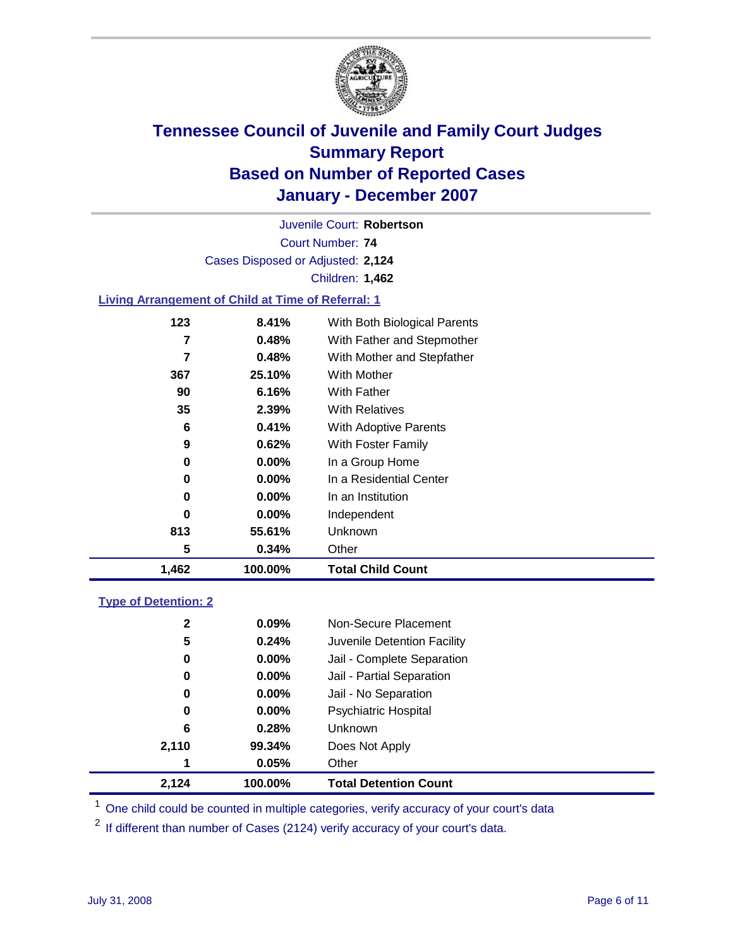

Court Number: **74** Juvenile Court: **Robertson** Cases Disposed or Adjusted: **2,124** Children: **1,462**

### **Living Arrangement of Child at Time of Referral: 1**

| 1,462 | 100.00%  | <b>Total Child Count</b>     |
|-------|----------|------------------------------|
| 5     | 0.34%    | Other                        |
| 813   | 55.61%   | Unknown                      |
| 0     | $0.00\%$ | Independent                  |
| 0     | $0.00\%$ | In an Institution            |
| 0     | $0.00\%$ | In a Residential Center      |
| 0     | $0.00\%$ | In a Group Home              |
| 9     | 0.62%    | With Foster Family           |
| 6     | 0.41%    | With Adoptive Parents        |
| 35    | 2.39%    | <b>With Relatives</b>        |
| 90    | 6.16%    | With Father                  |
| 367   | 25.10%   | With Mother                  |
| 7     | 0.48%    | With Mother and Stepfather   |
| 7     | 0.48%    | With Father and Stepmother   |
| 123   | 8.41%    | With Both Biological Parents |

#### **Type of Detention: 2**

| 2,124        | 100.00%  | <b>Total Detention Count</b> |
|--------------|----------|------------------------------|
| 1            | 0.05%    | Other                        |
| 2,110        | 99.34%   | Does Not Apply               |
| 6            | 0.28%    | <b>Unknown</b>               |
| 0            | 0.00%    | <b>Psychiatric Hospital</b>  |
| 0            | 0.00%    | Jail - No Separation         |
| 0            | $0.00\%$ | Jail - Partial Separation    |
| 0            | $0.00\%$ | Jail - Complete Separation   |
| 5            | 0.24%    | Juvenile Detention Facility  |
| $\mathbf{2}$ | 0.09%    | Non-Secure Placement         |
|              |          |                              |

<sup>1</sup> One child could be counted in multiple categories, verify accuracy of your court's data

<sup>2</sup> If different than number of Cases (2124) verify accuracy of your court's data.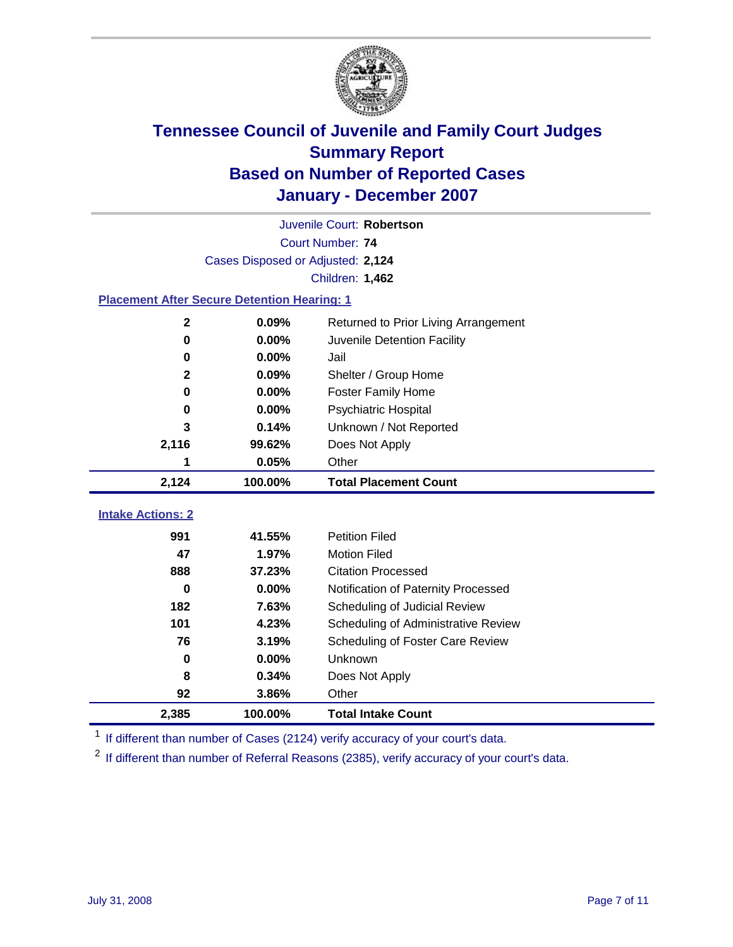

| Juvenile Court: Robertson                          |                                   |                                      |  |  |  |
|----------------------------------------------------|-----------------------------------|--------------------------------------|--|--|--|
|                                                    | Court Number: 74                  |                                      |  |  |  |
|                                                    | Cases Disposed or Adjusted: 2,124 |                                      |  |  |  |
|                                                    |                                   | Children: 1,462                      |  |  |  |
| <b>Placement After Secure Detention Hearing: 1</b> |                                   |                                      |  |  |  |
| $\mathbf{2}$                                       | 0.09%                             | Returned to Prior Living Arrangement |  |  |  |
| $\mathbf 0$                                        | 0.00%                             | Juvenile Detention Facility          |  |  |  |
| 0                                                  | 0.00%                             | Jail                                 |  |  |  |
| $\mathbf 2$                                        | 0.09%                             | Shelter / Group Home                 |  |  |  |
| 0                                                  | 0.00%                             | Foster Family Home                   |  |  |  |
| $\bf{0}$                                           | 0.00%                             | Psychiatric Hospital                 |  |  |  |
| 3                                                  | 0.14%                             | Unknown / Not Reported               |  |  |  |
| 2,116                                              | 99.62%                            | Does Not Apply                       |  |  |  |
| 1                                                  | 0.05%                             | Other                                |  |  |  |
| 2,124                                              | 100.00%                           | <b>Total Placement Count</b>         |  |  |  |
| <b>Intake Actions: 2</b>                           |                                   |                                      |  |  |  |
|                                                    |                                   |                                      |  |  |  |
| 991                                                | 41.55%                            | <b>Petition Filed</b>                |  |  |  |
| 47                                                 | 1.97%                             | <b>Motion Filed</b>                  |  |  |  |
| 888                                                | 37.23%                            | <b>Citation Processed</b>            |  |  |  |
| $\bf{0}$                                           | 0.00%                             | Notification of Paternity Processed  |  |  |  |
| 182                                                | 7.63%                             | Scheduling of Judicial Review        |  |  |  |
| 101                                                | 4.23%                             | Scheduling of Administrative Review  |  |  |  |
| 76                                                 | 3.19%                             | Scheduling of Foster Care Review     |  |  |  |
| 0                                                  | 0.00%                             | Unknown                              |  |  |  |
| 8                                                  | 0.34%                             | Does Not Apply                       |  |  |  |
| 92                                                 | 3.86%                             | Other                                |  |  |  |
| 2,385                                              | 100.00%                           | <b>Total Intake Count</b>            |  |  |  |

<sup>1</sup> If different than number of Cases (2124) verify accuracy of your court's data.

<sup>2</sup> If different than number of Referral Reasons (2385), verify accuracy of your court's data.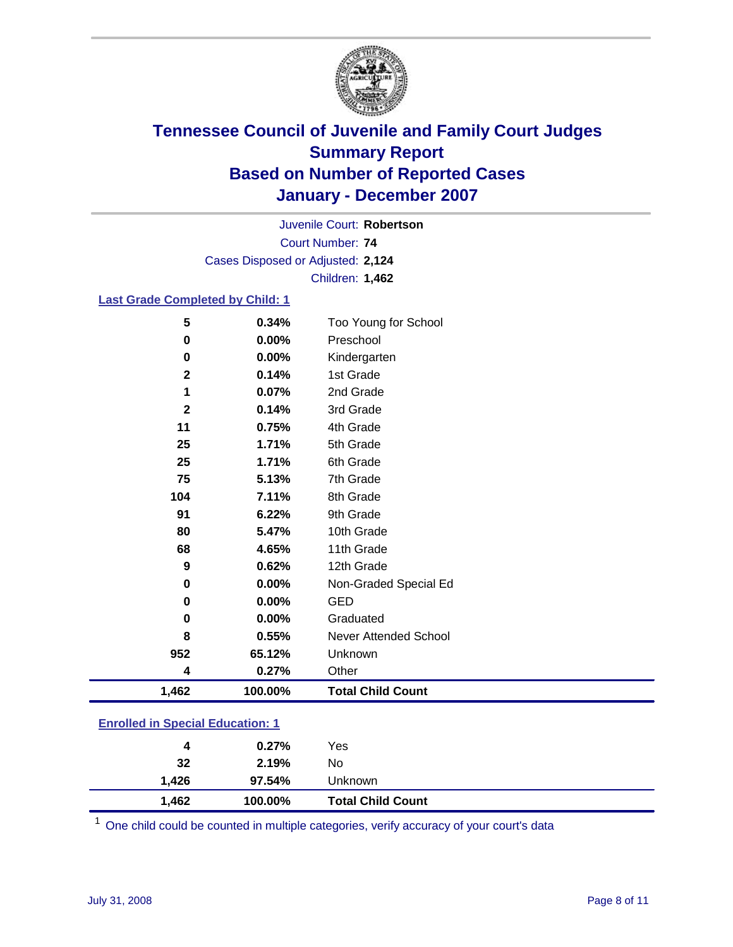

Court Number: **74** Juvenile Court: **Robertson** Cases Disposed or Adjusted: **2,124** Children: **1,462**

#### **Last Grade Completed by Child: 1**

| 5              | 0.34%   | Too Young for School     |
|----------------|---------|--------------------------|
| 0              | 0.00%   | Preschool                |
| 0              | 0.00%   | Kindergarten             |
| $\mathbf 2$    | 0.14%   | 1st Grade                |
| 1              | 0.07%   | 2nd Grade                |
| $\overline{2}$ | 0.14%   | 3rd Grade                |
| 11             | 0.75%   | 4th Grade                |
| 25             | 1.71%   | 5th Grade                |
| 25             | 1.71%   | 6th Grade                |
| 75             | 5.13%   | 7th Grade                |
| 104            | 7.11%   | 8th Grade                |
| 91             | 6.22%   | 9th Grade                |
| 80             | 5.47%   | 10th Grade               |
| 68             | 4.65%   | 11th Grade               |
| 9              | 0.62%   | 12th Grade               |
| 0              | 0.00%   | Non-Graded Special Ed    |
| $\bf{0}$       | 0.00%   | <b>GED</b>               |
| $\bf{0}$       | 0.00%   | Graduated                |
| 8              | 0.55%   | Never Attended School    |
| 952            | 65.12%  | Unknown                  |
| 4              | 0.27%   | Other                    |
| 1,462          | 100.00% | <b>Total Child Count</b> |

### **Enrolled in Special Education: 1**

| 4     | 0.27%   | Yes                      |
|-------|---------|--------------------------|
| 32    | 2.19%   | No                       |
| 1.426 | 97.54%  | Unknown                  |
| 1,462 | 100.00% | <b>Total Child Count</b> |

<sup>1</sup> One child could be counted in multiple categories, verify accuracy of your court's data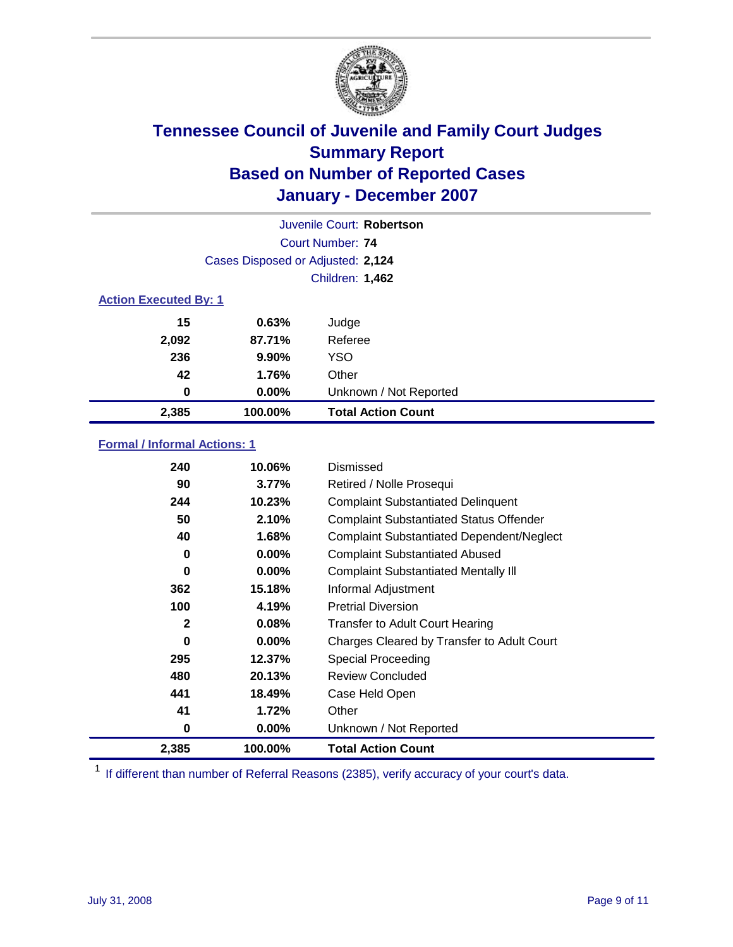

|                              | Juvenile Court: Robertson         |                           |  |  |
|------------------------------|-----------------------------------|---------------------------|--|--|
|                              | Court Number: 74                  |                           |  |  |
|                              | Cases Disposed or Adjusted: 2,124 |                           |  |  |
|                              | <b>Children: 1,462</b>            |                           |  |  |
| <b>Action Executed By: 1</b> |                                   |                           |  |  |
| 15                           | 0.63%                             | Judge                     |  |  |
| 2,092                        | 87.71%                            | Referee                   |  |  |
| 236                          | 9.90%                             | <b>YSO</b>                |  |  |
| 42                           | 1.76%                             | Other                     |  |  |
| 0                            | $0.00\%$                          | Unknown / Not Reported    |  |  |
| 2,385                        | 100.00%                           | <b>Total Action Count</b> |  |  |

### **Formal / Informal Actions: 1**

| 240          | 10.06%   | Dismissed                                        |
|--------------|----------|--------------------------------------------------|
| 90           | 3.77%    | Retired / Nolle Prosequi                         |
| 244          | 10.23%   | <b>Complaint Substantiated Delinquent</b>        |
| 50           | 2.10%    | <b>Complaint Substantiated Status Offender</b>   |
| 40           | 1.68%    | <b>Complaint Substantiated Dependent/Neglect</b> |
| 0            | $0.00\%$ | <b>Complaint Substantiated Abused</b>            |
| 0            | $0.00\%$ | <b>Complaint Substantiated Mentally III</b>      |
| 362          | 15.18%   | Informal Adjustment                              |
| 100          | 4.19%    | <b>Pretrial Diversion</b>                        |
| $\mathbf{2}$ | 0.08%    | <b>Transfer to Adult Court Hearing</b>           |
| 0            | $0.00\%$ | Charges Cleared by Transfer to Adult Court       |
| 295          | 12.37%   | Special Proceeding                               |
| 480          | 20.13%   | <b>Review Concluded</b>                          |
| 441          | 18.49%   | Case Held Open                                   |
| 41           | 1.72%    | Other                                            |
| 0            | 0.00%    | Unknown / Not Reported                           |
| 2,385        | 100.00%  | <b>Total Action Count</b>                        |

<sup>1</sup> If different than number of Referral Reasons (2385), verify accuracy of your court's data.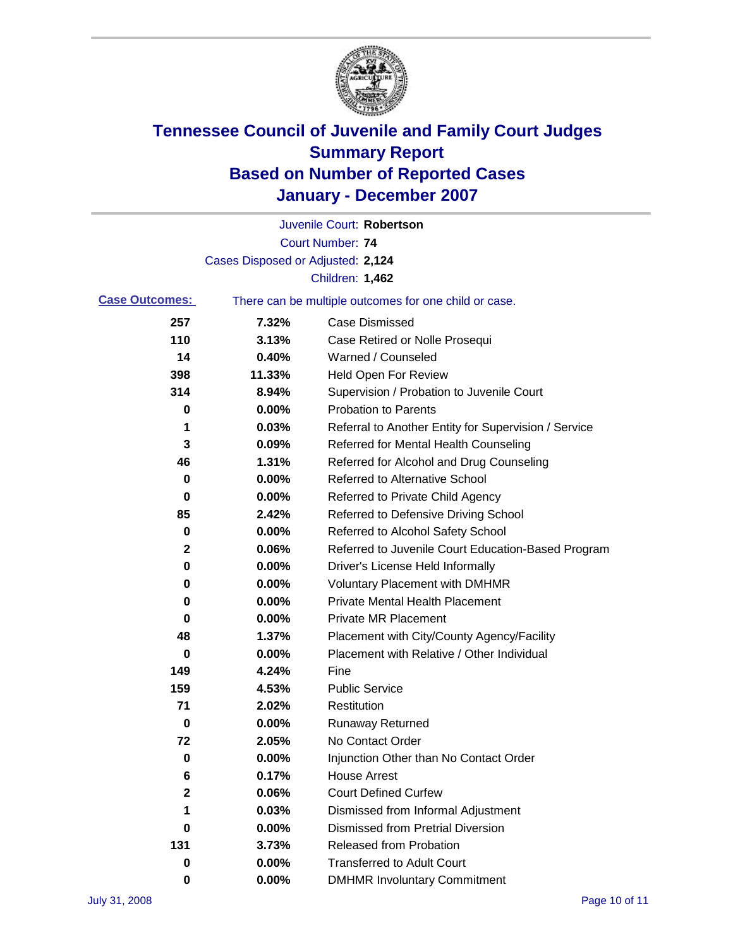

|                       |                                   | Juvenile Court: Robertson                             |
|-----------------------|-----------------------------------|-------------------------------------------------------|
|                       |                                   | <b>Court Number: 74</b>                               |
|                       | Cases Disposed or Adjusted: 2,124 |                                                       |
|                       |                                   | Children: 1,462                                       |
| <b>Case Outcomes:</b> |                                   | There can be multiple outcomes for one child or case. |
| 257                   | 7.32%                             | <b>Case Dismissed</b>                                 |
| 110                   | 3.13%                             | Case Retired or Nolle Prosequi                        |
| 14                    | 0.40%                             | Warned / Counseled                                    |
| 398                   | 11.33%                            | Held Open For Review                                  |
| 314                   | 8.94%                             | Supervision / Probation to Juvenile Court             |
| 0                     | 0.00%                             | <b>Probation to Parents</b>                           |
| 1                     | 0.03%                             | Referral to Another Entity for Supervision / Service  |
| 3                     | 0.09%                             | Referred for Mental Health Counseling                 |
| 46                    | 1.31%                             | Referred for Alcohol and Drug Counseling              |
| 0                     | 0.00%                             | <b>Referred to Alternative School</b>                 |
| 0                     | 0.00%                             | Referred to Private Child Agency                      |
| 85                    | 2.42%                             | Referred to Defensive Driving School                  |
| 0                     | 0.00%                             | Referred to Alcohol Safety School                     |
| 2                     | 0.06%                             | Referred to Juvenile Court Education-Based Program    |
| 0                     | 0.00%                             | Driver's License Held Informally                      |
| 0                     | 0.00%                             | <b>Voluntary Placement with DMHMR</b>                 |
| 0                     | 0.00%                             | <b>Private Mental Health Placement</b>                |
| 0                     | 0.00%                             | Private MR Placement                                  |
| 48                    | 1.37%                             | Placement with City/County Agency/Facility            |
| 0                     | 0.00%                             | Placement with Relative / Other Individual            |
| 149                   | 4.24%                             | Fine                                                  |
| 159                   | 4.53%                             | <b>Public Service</b>                                 |
| 71                    | 2.02%                             | Restitution                                           |
| 0                     | 0.00%                             | <b>Runaway Returned</b>                               |
| 72                    | 2.05%                             | No Contact Order                                      |
| 0                     | 0.00%                             | Injunction Other than No Contact Order                |
| 6                     | 0.17%                             | <b>House Arrest</b>                                   |
| 2                     | 0.06%                             | <b>Court Defined Curfew</b>                           |
| 1                     | 0.03%                             | Dismissed from Informal Adjustment                    |
| 0                     | 0.00%                             | <b>Dismissed from Pretrial Diversion</b>              |
| 131                   | 3.73%                             | <b>Released from Probation</b>                        |
| 0                     | 0.00%                             | <b>Transferred to Adult Court</b>                     |
| 0                     | $0.00\%$                          | <b>DMHMR Involuntary Commitment</b>                   |